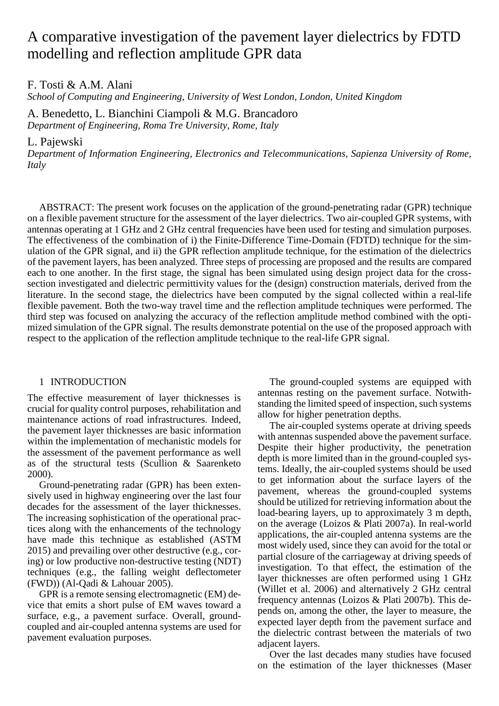# A comparative investigation of the pavement layer dielectrics by FDTD modelling and reflection amplitude GPR data

F. Tosti & A.M. Alani

*School of Computing and Engineering, University of West London, London, United Kingdom*

A. Benedetto, L. Bianchini Ciampoli & M.G. Brancadoro *Department of Engineering, Roma Tre University, Rome, Italy*

L. Pajewski

*Department of Information Engineering, Electronics and Telecommunications, Sapienza University of Rome, Italy*

ABSTRACT: The present work focuses on the application of the ground-penetrating radar (GPR) technique on a flexible pavement structure for the assessment of the layer dielectrics. Two air-coupled GPR systems, with antennas operating at 1 GHz and 2 GHz central frequencies have been used for testing and simulation purposes. The effectiveness of the combination of i) the Finite-Difference Time-Domain (FDTD) technique for the simulation of the GPR signal, and ii) the GPR reflection amplitude technique, for the estimation of the dielectrics of the pavement layers, has been analyzed. Three steps of processing are proposed and the results are compared each to one another. In the first stage, the signal has been simulated using design project data for the crosssection investigated and dielectric permittivity values for the (design) construction materials, derived from the literature. In the second stage, the dielectrics have been computed by the signal collected within a real-life flexible pavement. Both the two-way travel time and the reflection amplitude techniques were performed. The third step was focused on analyzing the accuracy of the reflection amplitude method combined with the optimized simulation of the GPR signal. The results demonstrate potential on the use of the proposed approach with respect to the application of the reflection amplitude technique to the real-life GPR signal.

## 1 INTRODUCTION

The effective measurement of layer thicknesses is crucial for quality control purposes, rehabilitation and maintenance actions of road infrastructures. Indeed, the pavement layer thicknesses are basic information within the implementation of mechanistic models for the assessment of the pavement performance as well as of the structural tests (Scullion & Saarenketo 2000).

Ground-penetrating radar (GPR) has been extensively used in highway engineering over the last four decades for the assessment of the layer thicknesses. The increasing sophistication of the operational practices along with the enhancements of the technology have made this technique as established (ASTM 2015) and prevailing over other destructive (e.g., coring) or low productive non-destructive testing (NDT) techniques (e.g., the falling weight deflectometer (FWD)) (Al-Qadi & Lahouar 2005).

GPR is a remote sensing electromagnetic (EM) device that emits a short pulse of EM waves toward a surface, e.g., a pavement surface. Overall, groundcoupled and air-coupled antenna systems are used for pavement evaluation purposes.

The ground-coupled systems are equipped with antennas resting on the pavement surface. Notwithstanding the limited speed of inspection, such systems allow for higher penetration depths.

The air-coupled systems operate at driving speeds with antennas suspended above the pavement surface. Despite their higher productivity, the penetration depth is more limited than in the ground-coupled systems. Ideally, the air-coupled systems should be used to get information about the surface layers of the pavement, whereas the ground-coupled systems should be utilized for retrieving information about the load-bearing layers, up to approximately 3 m depth, on the average (Loizos & Plati 2007a). In real-world applications, the air-coupled antenna systems are the most widely used, since they can avoid for the total or partial closure of the carriageway at driving speeds of investigation. To that effect, the estimation of the layer thicknesses are often performed using 1 GHz (Willet et al. 2006) and alternatively 2 GHz central frequency antennas (Loizos & Plati 2007b). This depends on, among the other, the layer to measure, the expected layer depth from the pavement surface and the dielectric contrast between the materials of two adjacent layers.

Over the last decades many studies have focused on the estimation of the layer thicknesses (Maser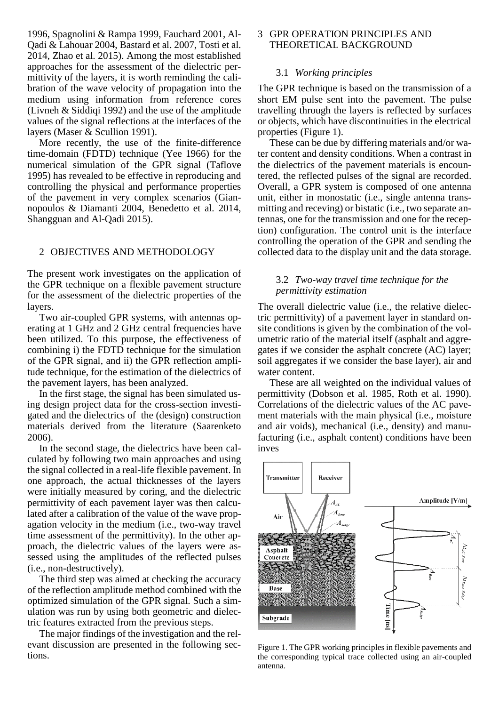1996, Spagnolini & Rampa 1999, Fauchard 2001, Al-Qadi & Lahouar 2004, Bastard et al. 2007, Tosti et al. 2014, Zhao et al. 2015). Among the most established approaches for the assessment of the dielectric permittivity of the layers, it is worth reminding the calibration of the wave velocity of propagation into the medium using information from reference cores (Livneh & Siddiqi 1992) and the use of the amplitude values of the signal reflections at the interfaces of the layers (Maser & Scullion 1991).

More recently, the use of the finite-difference time-domain (FDTD) technique (Yee 1966) for the numerical simulation of the GPR signal (Taflove 1995) has revealed to be effective in reproducing and controlling the physical and performance properties of the pavement in very complex scenarios (Giannopoulos & Diamanti 2004, Benedetto et al. 2014, Shangguan and Al-Qadi 2015).

## 2 OBJECTIVES AND METHODOLOGY

The present work investigates on the application of the GPR technique on a flexible pavement structure for the assessment of the dielectric properties of the layers.

Two air-coupled GPR systems, with antennas operating at 1 GHz and 2 GHz central frequencies have been utilized. To this purpose, the effectiveness of combining i) the FDTD technique for the simulation of the GPR signal, and ii) the GPR reflection amplitude technique, for the estimation of the dielectrics of the pavement layers, has been analyzed.

In the first stage, the signal has been simulated using design project data for the cross-section investigated and the dielectrics of the (design) construction materials derived from the literature (Saarenketo 2006).

In the second stage, the dielectrics have been calculated by following two main approaches and using the signal collected in a real-life flexible pavement. In one approach, the actual thicknesses of the layers were initially measured by coring, and the dielectric permittivity of each pavement layer was then calculated after a calibration of the value of the wave propagation velocity in the medium (i.e., two-way travel time assessment of the permittivity). In the other approach, the dielectric values of the layers were assessed using the amplitudes of the reflected pulses (i.e., non-destructively).

The third step was aimed at checking the accuracy of the reflection amplitude method combined with the optimized simulation of the GPR signal. Such a simulation was run by using both geometric and dielectric features extracted from the previous steps.

The major findings of the investigation and the relevant discussion are presented in the following sections.

# 3 GPR OPERATION PRINCIPLES AND THEORETICAL BACKGROUND

## 3.1 *Working principles*

The GPR technique is based on the transmission of a short EM pulse sent into the pavement. The pulse travelling through the layers is reflected by surfaces or objects, which have discontinuities in the electrical properties (Figure 1).

These can be due by differing materials and/or water content and density conditions. When a contrast in the dielectrics of the pavement materials is encountered, the reflected pulses of the signal are recorded. Overall, a GPR system is composed of one antenna unit, either in monostatic (i.e., single antenna transmitting and receving) or bistatic (i.e., two separate antennas, one for the transmission and one for the reception) configuration. The control unit is the interface controlling the operation of the GPR and sending the collected data to the display unit and the data storage.

## 3.2 *Two-way travel time technique for the permittivity estimation*

The overall dielectric value (i.e., the relative dielectric permittivity) of a pavement layer in standard onsite conditions is given by the combination of the volumetric ratio of the material itself (asphalt and aggregates if we consider the asphalt concrete (AC) layer; soil aggregates if we consider the base layer), air and water content.

These are all weighted on the individual values of permittivity (Dobson et al. 1985, Roth et al. 1990). Correlations of the dielectric values of the AC pavement materials with the main physical (i.e., moisture and air voids), mechanical (i.e., density) and manufacturing (i.e., asphalt content) conditions have been inves



Figure 1. The GPR working principles in flexible pavements and the corresponding typical trace collected using an air-coupled antenna.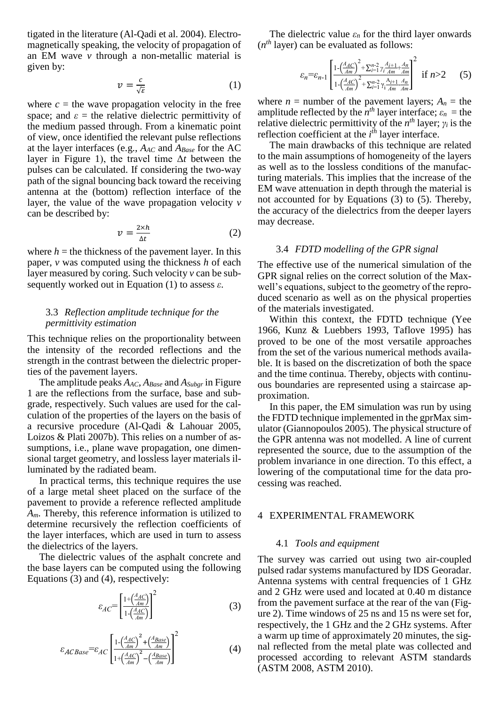tigated in the literature (Al-Qadi et al. 2004). Electromagnetically speaking, the velocity of propagation of an EM wave *v* through a non-metallic material is given by:

$$
v = \frac{c}{\sqrt{\varepsilon}}\tag{1}
$$

where  $c =$  the wave propagation velocity in the free space; and  $\varepsilon$  = the relative dielectric permittivity of the medium passed through. From a kinematic point of view, once identified the relevant pulse reflections at the layer interfaces (e.g., *AAC* and *ABase* for the AC layer in Figure 1), the travel time Δ*t* between the pulses can be calculated. If considering the two-way path of the signal bouncing back toward the receiving antenna at the (bottom) reflection interface of the layer, the value of the wave propagation velocity *v* can be described by:

$$
v = \frac{2 \times h}{\Delta t} \tag{2}
$$

where  $h =$  the thickness of the pavement layer. In this paper, *v* was computed using the thickness *h* of each layer measured by coring. Such velocity *v* can be subsequently worked out in Equation (1) to assess *ε*.

## 3.3 *Reflection amplitude technique for the permittivity estimation*

This technique relies on the proportionality between the intensity of the recorded reflections and the strength in the contrast between the dielectric properties of the pavement layers.

The amplitude peaks *AAC*, *ABase* and *ASubgr* in Figure 1 are the reflections from the surface, base and subgrade, respectively. Such values are used for the calculation of the properties of the layers on the basis of a recursive procedure (Al-Qadi & Lahouar 2005, Loizos & Plati 2007b). This relies on a number of assumptions, i.e., plane wave propagation, one dimensional target geometry, and lossless layer materials illuminated by the radiated beam.

In practical terms, this technique requires the use of a large metal sheet placed on the surface of the pavement to provide a reference reflected amplitude *Am*. Thereby, this reference information is utilized to determine recursively the reflection coefficients of the layer interfaces, which are used in turn to assess the dielectrics of the layers.

The dielectric values of the asphalt concrete and the base layers can be computed using the following Equations (3) and (4), respectively:

$$
\varepsilon_{AC} = \left[ \frac{1 + \left( \frac{A_{AC}}{Am} \right)}{1 - \left( \frac{A_{AC}}{Am} \right)} \right]^2 \tag{3}
$$

$$
\varepsilon_{ACBase} = \varepsilon_{AC} \left[ \frac{1 - \left(\frac{A_{AC}}{Am}\right)^2 + \left(\frac{A_{Base}}{Am}\right)}{1 + \left(\frac{A_{AC}}{Am}\right)^2 - \left(\frac{A_{Base}}{Am}\right)} \right]^2 \tag{4}
$$

The dielectric value  $\varepsilon_n$  for the third layer onwards (*n th* layer) can be evaluated as follows:

$$
\varepsilon_n = \varepsilon_{n-1} \left[ \frac{1 - \left(\frac{A_{AC}}{Am}\right)^2 + \sum_{i=1}^{n-2} \gamma_i \frac{A_{i+1}}{Am} + \frac{A_n}{Am}}{1 - \left(\frac{A_{AC}}{Am}\right)^2 + \sum_{i=1}^{n-2} \gamma_i \frac{A_{i+1}}{Am} + \frac{A_n}{Am}} \right]^2 \quad \text{if } n > 2 \qquad (5)
$$

where  $n =$  number of the pavement layers;  $A_n =$  the amplitude reflected by the  $n^{th}$  layer interface;  $\varepsilon_n$  = the relative dielectric permittivity of the  $n^{th}$  layer;  $\gamma_i$  is the reflection coefficient at the *i*<sup>th</sup> layer interface.

The main drawbacks of this technique are related to the main assumptions of homogeneity of the layers as well as to the lossless conditions of the manufacturing materials. This implies that the increase of the EM wave attenuation in depth through the material is not accounted for by Equations (3) to (5). Thereby, the accuracy of the dielectrics from the deeper layers may decrease.

#### 3.4 *FDTD modelling of the GPR signal*

The effective use of the numerical simulation of the GPR signal relies on the correct solution of the Maxwell's equations, subject to the geometry of the reproduced scenario as well as on the physical properties of the materials investigated.

Within this context, the FDTD technique (Yee 1966, Kunz & Luebbers 1993, Taflove 1995) has proved to be one of the most versatile approaches from the set of the various numerical methods available. It is based on the discretization of both the space and the time continua. Thereby, objects with continuous boundaries are represented using a staircase approximation.

In this paper, the EM simulation was run by using the FDTD technique implemented in the gprMax simulator (Giannopoulos 2005). The physical structure of the GPR antenna was not modelled. A line of current represented the source, due to the assumption of the problem invariance in one direction. To this effect, a lowering of the computational time for the data processing was reached.

#### 4 EXPERIMENTAL FRAMEWORK

#### 4.1 *Tools and equipment*

The survey was carried out using two air-coupled pulsed radar systems manufactured by IDS Georadar. Antenna systems with central frequencies of 1 GHz and 2 GHz were used and located at 0.40 m distance from the pavement surface at the rear of the van (Figure 2). Time windows of 25 ns and 15 ns were set for, respectively, the 1 GHz and the 2 GHz systems. After a warm up time of approximately 20 minutes, the signal reflected from the metal plate was collected and processed according to relevant ASTM standards (ASTM 2008, ASTM 2010).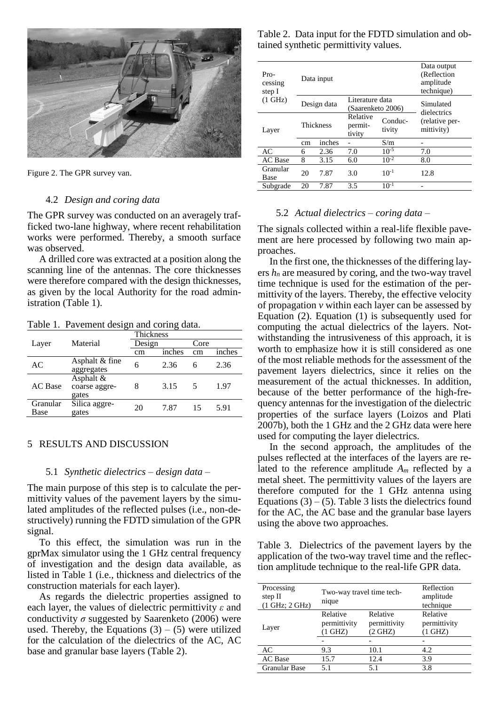

Figure 2. The GPR survey van.

#### 4.2 *Design and coring data*

The GPR survey was conducted on an averagely trafficked two-lane highway, where recent rehabilitation works were performed. Thereby, a smooth surface was observed.

A drilled core was extracted at a position along the scanning line of the antennas. The core thicknesses were therefore compared with the design thicknesses, as given by the local Authority for the road administration (Table 1).

Table 1. Pavement design and coring data.

|                  |                                     | Thickness |        |      |        |
|------------------|-------------------------------------|-----------|--------|------|--------|
| Layer            | Material                            | Design    |        | Core |        |
|                  |                                     | cm        | inches | cm   | inches |
| AC               | Asphalt & fine<br>aggregates        | 6         | 2.36   | 6    | 2.36   |
| <b>AC</b> Base   | Asphalt &<br>coarse aggre-<br>gates | 8         | 3.15   | 5    | 1.97   |
| Granular<br>Base | Silica aggre-<br>gates              | 20        | 7.87   | 15   | 5.91   |

## 5 RESULTS AND DISCUSSION

# 5.1 *Synthetic dielectrics – design data –*

The main purpose of this step is to calculate the permittivity values of the pavement layers by the simulated amplitudes of the reflected pulses (i.e., non-destructively) running the FDTD simulation of the GPR signal.

To this effect, the simulation was run in the gprMax simulator using the 1 GHz central frequency of investigation and the design data available, as listed in Table 1 (i.e., thickness and dielectrics of the construction materials for each layer).

As regards the dielectric properties assigned to each layer, the values of dielectric permittivity *ε* and conductivity  $\sigma$  suggested by Saarenketo (2006) were used. Thereby, the Equations  $(3) - (5)$  were utilized for the calculation of the dielectrics of the AC, AC base and granular base layers (Table 2).

| Table 2. Data input for the FDTD simulation and ob- |  |
|-----------------------------------------------------|--|
| tained synthetic permittivity values.               |  |

| Pro-<br>cessing<br>step I |                  | Data input                                          |                               |                          | Data output<br>(Reflection<br>amplitude<br>technique) |
|---------------------------|------------------|-----------------------------------------------------|-------------------------------|--------------------------|-------------------------------------------------------|
| (1 GHz)                   |                  | Literature data<br>Design data<br>(Saarenketo 2006) |                               | Simulated<br>dielectrics |                                                       |
| Layer                     | <b>Thickness</b> |                                                     | Relative<br>permit-<br>tivity | Conduc-<br>tivity        | (relative per-<br>mittivity)                          |
|                           | cm               | inches                                              |                               | S/m                      |                                                       |
| AC                        | 6                | 2.36                                                | 7.0                           | $10^{-5}$                | 7.0                                                   |
| <b>AC</b> Base            | 8                | 3.15                                                | 6.0                           | $10^{-2}$                | 8.0                                                   |
| Granular<br>Base          | 20               | 7.87                                                | 3.0                           | $10^{-1}$                | 12.8                                                  |
| Subgrade                  | 20               | 7.87                                                | 3.5                           | $10^{-1}$                |                                                       |

#### 5.2 *Actual dielectrics – coring data –*

The signals collected within a real-life flexible pavement are here processed by following two main approaches.

In the first one, the thicknesses of the differing layers  $h_n$  are measured by coring, and the two-way travel time technique is used for the estimation of the permittivity of the layers. Thereby, the effective velocity of propagation *v* within each layer can be assessed by Equation (2). Equation (1) is subsequently used for computing the actual dielectrics of the layers. Notwithstanding the intrusiveness of this approach, it is worth to emphasize how it is still considered as one of the most reliable methods for the assessment of the pavement layers dielectrics, since it relies on the measurement of the actual thicknesses. In addition, because of the better performance of the high-frequency antennas for the investigation of the dielectric properties of the surface layers (Loizos and Plati 2007b), both the 1 GHz and the 2 GHz data were here used for computing the layer dielectrics.

In the second approach, the amplitudes of the pulses reflected at the interfaces of the layers are related to the reference amplitude *A<sup>m</sup>* reflected by a metal sheet. The permittivity values of the layers are therefore computed for the 1 GHz antenna using Equations  $(3) - (5)$ . Table 3 lists the dielectrics found for the AC, the AC base and the granular base layers using the above two approaches.

Table 3. Dielectrics of the pavement layers by the application of the two-way travel time and the reflection amplitude technique to the real-life GPR data.

| Processing<br>step II<br>(1 GHz; 2 GHz) | Two-way travel time tech-<br>nique   |                                     | Reflection<br>amplitude<br>technique |
|-----------------------------------------|--------------------------------------|-------------------------------------|--------------------------------------|
| Layer                                   | Relative<br>permittivity<br>$1$ GHZ) | Relative<br>permittivity<br>(2 GHZ) | Relative<br>permittivity<br>(1 GHZ)  |
|                                         |                                      |                                     |                                      |
| AC                                      | 9.3                                  | 10.1                                | 4.2                                  |
| <b>AC</b> Base                          | 15.7                                 | 12.4                                | 3.9                                  |
| <b>Granular Base</b>                    | 5.1                                  | 5.1                                 | 3.8                                  |
|                                         |                                      |                                     |                                      |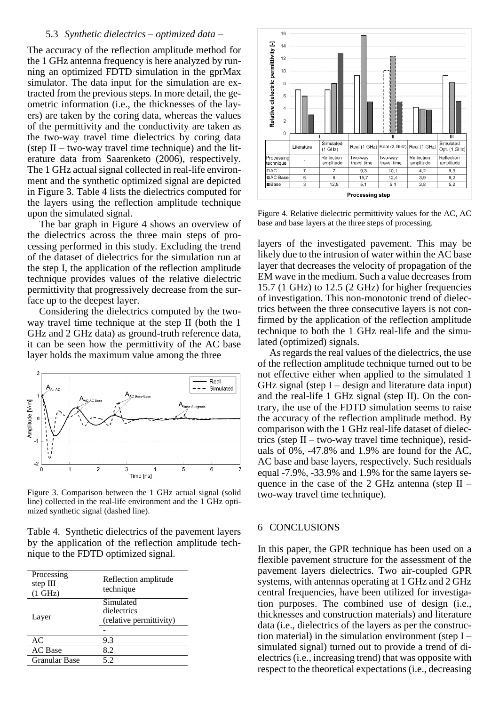#### 5.3 *Synthetic dielectrics – optimized data –*

The accuracy of the reflection amplitude method for the 1 GHz antenna frequency is here analyzed by running an optimized FDTD simulation in the gprMax simulator. The data input for the simulation are extracted from the previous steps. In more detail, the geometric information (i.e., the thicknesses of the layers) are taken by the coring data, whereas the values of the permittivity and the conductivity are taken as the two-way travel time dielectrics by coring data (step  $II - two-way travel time technique$ ) and the literature data from Saarenketo (2006), respectively. The 1 GHz actual signal collected in real-life environment and the synthetic optimized signal are depicted in Figure 3. Table 4 lists the dielectrics computed for the layers using the reflection amplitude technique upon the simulated signal.

The bar graph in Figure 4 shows an overview of the dielectrics across the three main steps of processing performed in this study. Excluding the trend of the dataset of dielectrics for the simulation run at the step I, the application of the reflection amplitude technique provides values of the relative dielectric permittivity that progressively decrease from the surface up to the deepest layer.

Considering the dielectrics computed by the twoway travel time technique at the step II (both the 1 GHz and 2 GHz data) as ground-truth reference data, it can be seen how the permittivity of the AC base layer holds the maximum value among the three



Figure 3. Comparison between the 1 GHz actual signal (solid line) collected in the real-life environment and the 1 GHz optimized synthetic signal (dashed line).

Table 4. Synthetic dielectrics of the pavement layers by the application of the reflection amplitude technique to the FDTD optimized signal.

| Processing<br>step III<br>$(1$ GHz) | Reflection amplitude<br>technique                   |
|-------------------------------------|-----------------------------------------------------|
| Layer                               | Simulated<br>dielectrics<br>(relative permittivity) |
| AC                                  | 9.3                                                 |
| <b>AC</b> Base                      | 8.2                                                 |
| <b>Granular Base</b>                | 5.2                                                 |



Figure 4. Relative dielectric permittivity values for the AC, AC base and base layers at the three steps of processing.

layers of the investigated pavement. This may be likely due to the intrusion of water within the AC base layer that decreases the velocity of propagation of the EM wave in the medium. Such a value decreases from 15.7 (1 GHz) to 12.5 (2 GHz) for higher frequencies of investigation. This non-monotonic trend of dielectrics between the three consecutive layers is not confirmed by the application of the reflection amplitude technique to both the 1 GHz real-life and the simulated (optimized) signals.

As regards the real values of the dielectrics, the use of the reflection amplitude technique turned out to be not effective either when applied to the simulated 1 GHz signal (step  $I -$  design and literature data input) and the real-life 1 GHz signal (step II). On the contrary, the use of the FDTD simulation seems to raise the accuracy of the reflection amplitude method. By comparison with the 1 GHz real-life dataset of dielectrics (step II – two-way travel time technique), residuals of 0%, -47.8% and 1.9% are found for the AC, AC base and base layers, respectively. Such residuals equal -7.9%, -33.9% and 1.9% for the same layers sequence in the case of the 2 GHz antenna (step  $II$  – two-way travel time technique).

### 6 CONCLUSIONS

In this paper, the GPR technique has been used on a flexible pavement structure for the assessment of the pavement layers dielectrics. Two air-coupled GPR systems, with antennas operating at 1 GHz and 2 GHz central frequencies, have been utilized for investigation purposes. The combined use of design (i.e., thicknesses and construction materials) and literature data (i.e., dielectrics of the layers as per the construction material) in the simulation environment (step  $I$ simulated signal) turned out to provide a trend of dielectrics (i.e., increasing trend) that was opposite with respect to the theoretical expectations (i.e., decreasing